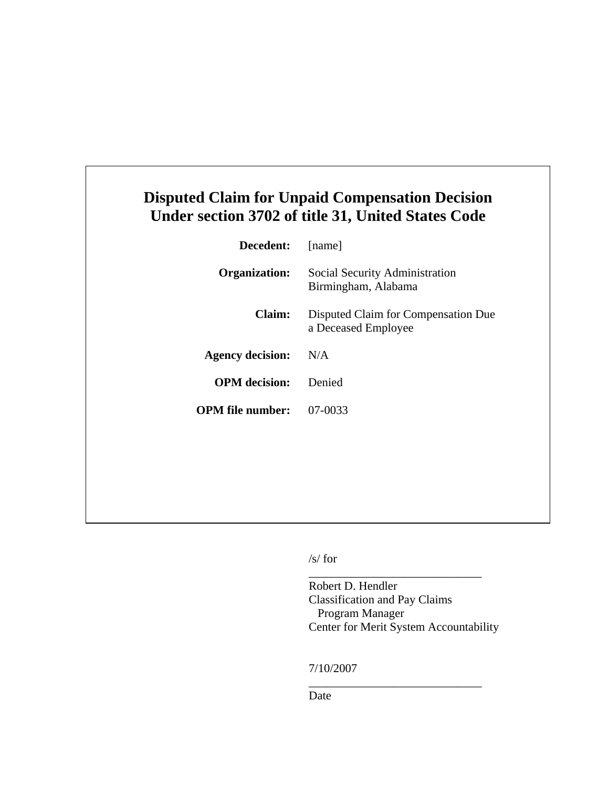## **Disputed Claim for Unpaid Compensation Decision Under section 3702 of title 31, United States Code**

| Decedent:               | [name]                                                     |
|-------------------------|------------------------------------------------------------|
| <b>Organization:</b>    | Social Security Administration<br>Birmingham, Alabama      |
| Claim:                  | Disputed Claim for Compensation Due<br>a Deceased Employee |
| <b>Agency decision:</b> | N/A                                                        |
| <b>OPM</b> decision:    | Denied                                                     |
| <b>OPM</b> file number: | 07-0033                                                    |
|                         |                                                            |

/s/ for

Robert D. Hendler Classification and Pay Claims Program Manager Center for Merit System Accountability

\_\_\_\_\_\_\_\_\_\_\_\_\_\_\_\_\_\_\_\_\_\_\_\_\_\_\_\_\_

\_\_\_\_\_\_\_\_\_\_\_\_\_\_\_\_\_\_\_\_\_\_\_\_\_\_\_\_\_

7/10/2007

Date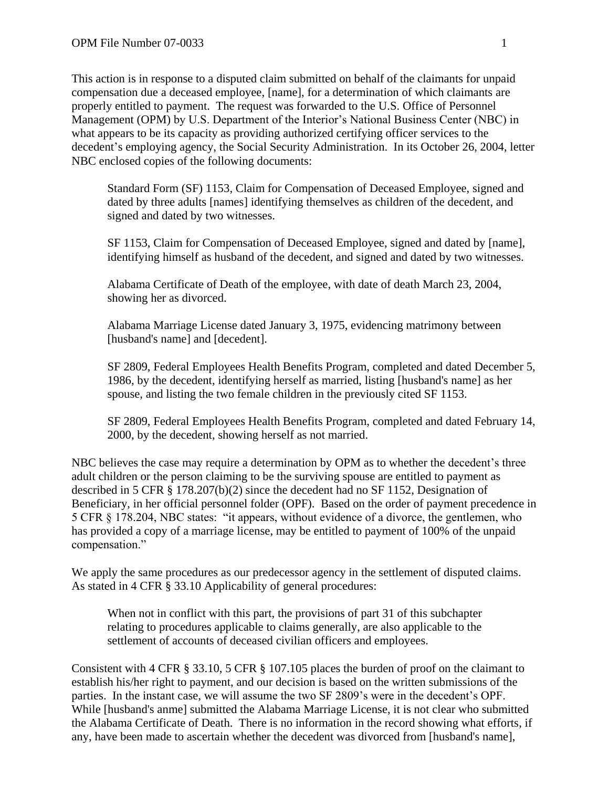This action is in response to a disputed claim submitted on behalf of the claimants for unpaid compensation due a deceased employee, [name], for a determination of which claimants are properly entitled to payment. The request was forwarded to the U.S. Office of Personnel Management (OPM) by U.S. Department of the Interior's National Business Center (NBC) in what appears to be its capacity as providing authorized certifying officer services to the decedent's employing agency, the Social Security Administration. In its October 26, 2004, letter NBC enclosed copies of the following documents:

Standard Form (SF) 1153, Claim for Compensation of Deceased Employee, signed and dated by three adults [names] identifying themselves as children of the decedent, and signed and dated by two witnesses.

SF 1153, Claim for Compensation of Deceased Employee, signed and dated by [name], identifying himself as husband of the decedent, and signed and dated by two witnesses.

Alabama Certificate of Death of the employee, with date of death March 23, 2004, showing her as divorced.

Alabama Marriage License dated January 3, 1975, evidencing matrimony between [husband's name] and [decedent].

SF 2809, Federal Employees Health Benefits Program, completed and dated December 5, 1986, by the decedent, identifying herself as married, listing [husband's name] as her spouse, and listing the two female children in the previously cited SF 1153.

SF 2809, Federal Employees Health Benefits Program, completed and dated February 14, 2000, by the decedent, showing herself as not married.

NBC believes the case may require a determination by OPM as to whether the decedent's three adult children or the person claiming to be the surviving spouse are entitled to payment as described in 5 CFR § 178.207(b)(2) since the decedent had no SF 1152, Designation of Beneficiary, in her official personnel folder (OPF). Based on the order of payment precedence in 5 CFR § 178.204, NBC states: "it appears, without evidence of a divorce, the gentlemen, who has provided a copy of a marriage license, may be entitled to payment of 100% of the unpaid compensation."

We apply the same procedures as our predecessor agency in the settlement of disputed claims. As stated in 4 CFR § 33.10 Applicability of general procedures:

When not in conflict with this part, the provisions of part 31 of this subchapter relating to procedures applicable to claims generally, are also applicable to the settlement of accounts of deceased civilian officers and employees.

Consistent with 4 CFR § 33.10, 5 CFR § 107.105 places the burden of proof on the claimant to establish his/her right to payment, and our decision is based on the written submissions of the parties. In the instant case, we will assume the two SF 2809's were in the decedent's OPF. While [husband's anme] submitted the Alabama Marriage License, it is not clear who submitted the Alabama Certificate of Death. There is no information in the record showing what efforts, if any, have been made to ascertain whether the decedent was divorced from [husband's name],